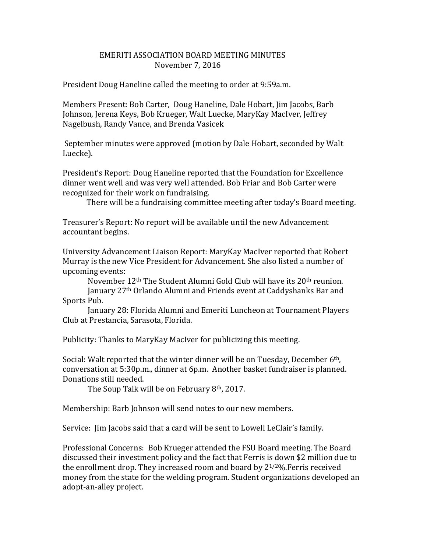## EMERITI ASSOCIATION BOARD MEETING MINUTES November 7, 2016

President Doug Haneline called the meeting to order at 9:59a.m.

Members Present: Bob Carter, Doug Haneline, Dale Hobart, Jim Jacobs, Barb Johnson, Jerena Keys, Bob Krueger, Walt Luecke, MaryKay MacIver, Jeffrey Nagelbush, Randy Vance, and Brenda Vasicek

September minutes were approved (motion by Dale Hobart, seconded by Walt Luecke).

President's Report: Doug Haneline reported that the Foundation for Excellence dinner went well and was very well attended. Bob Friar and Bob Carter were recognized for their work on fundraising.

There will be a fundraising committee meeting after today's Board meeting.

Treasurer's Report: No report will be available until the new Advancement accountant begins.

University Advancement Liaison Report: MaryKay MacIver reported that Robert Murray is the new Vice President for Advancement. She also listed a number of upcoming events:

November 12th The Student Alumni Gold Club will have its 20th reunion. January 27th Orlando Alumni and Friends event at Caddyshanks Bar and Sports Pub.

January 28: Florida Alumni and Emeriti Luncheon at Tournament Players Club at Prestancia, Sarasota, Florida.

Publicity: Thanks to MaryKay MacIver for publicizing this meeting.

Social: Walt reported that the winter dinner will be on Tuesday, December 6th, conversation at 5:30p.m., dinner at 6p.m. Another basket fundraiser is planned. Donations still needed.

The Soup Talk will be on February 8th, 2017.

Membership: Barb Johnson will send notes to our new members.

Service: Jim Jacobs said that a card will be sent to Lowell LeClair's family.

Professional Concerns: Bob Krueger attended the FSU Board meeting. The Board discussed their investment policy and the fact that Ferris is down \$2 million due to the enrollment drop. They increased room and board by  $2^{1/2}\%$ . Ferris received money from the state for the welding program. Student organizations developed an adopt-an-alley project.